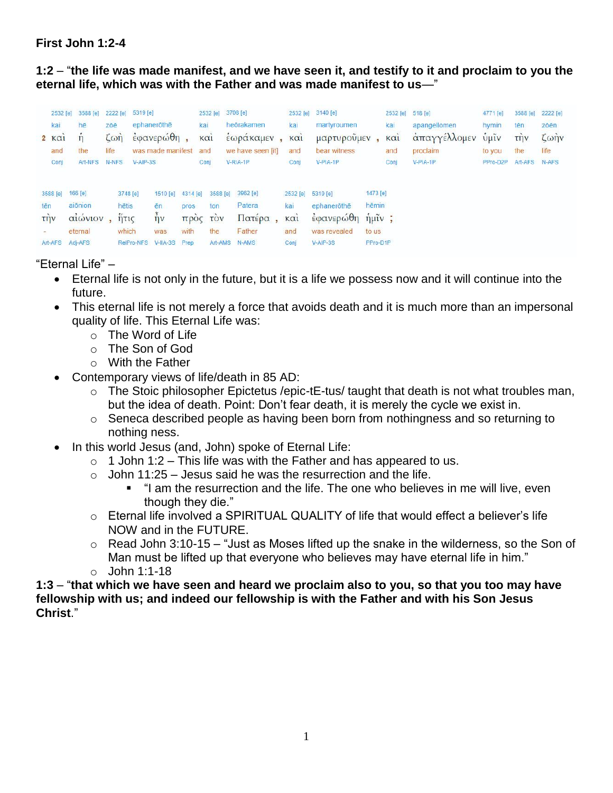## **First John 1:2-4**

**1:2** – "**the life was made manifest, and we have seen it, and testify to it and proclaim to you the eternal life, which was with the Father and was made manifest to us**—"

| 2532 [e]<br>kai<br>2 K <sub>α1</sub><br>and<br>Conj | 3588 [e]<br>hē<br>$\overline{\mathbf{n}}$<br>the<br>Art-NFS | zōē<br>life. | 2222 [e]<br>$L\omega$<br>N-NFS                     | 5319 [e]<br>ephanerothe<br>$\epsilon$ φανερώθη,<br>was made manifest<br>$V-AIP-3S$ |                                         | 2532 [e]<br>kai<br>KCl <sub>1</sub><br>and<br>Conj |                     | 3708 [e]<br>heōrakamen<br>έωρακαμεν,<br>we have seen [it]<br>$V-RIA-1P$ | kai<br>KCl <sub>1</sub><br>and<br>Conj             | 2532 [e] 3140 [e]<br>martyroumen<br>μαρτυροὖμεν<br>bear witness<br>V-PIA-1P |                                        | 2532 [e]<br>kai<br>KCl <sub>1</sub><br>and<br>Conj | 518 [e]<br>apangellomen<br>απαγγέλλομεν<br>proclaim<br>V-PIA-1P | 4771 [e]<br>hymin<br>$\sqrt{u}$ <sup>11</sup> $\nu$<br>to you<br>PPro-D2P | 3588 [e]<br>tēn<br>$T\eta V$<br>the<br>Art-AFS | 2222 [e]<br>zōēn<br>$\zeta$ $\omega$ $\eta$ $\upsilon$<br>life<br>N-AFS |
|-----------------------------------------------------|-------------------------------------------------------------|--------------|----------------------------------------------------|------------------------------------------------------------------------------------|-----------------------------------------|----------------------------------------------------|---------------------|-------------------------------------------------------------------------|----------------------------------------------------|-----------------------------------------------------------------------------|----------------------------------------|----------------------------------------------------|-----------------------------------------------------------------|---------------------------------------------------------------------------|------------------------------------------------|-------------------------------------------------------------------------|
| 3588 [e]<br>tēn<br><b>TIJV</b><br>Art-AFS           | 166 [e]<br>aiōnion<br>αιώνιον<br>eternal<br>Adi-AFS         |              | 3748 [e]<br>hētis<br>$n\pi$<br>which<br>RelPro-NFS | 1510 [e]<br>ēn<br>$\eta v$<br>was<br>$V-HA-3S$                                     | 4314 [e]<br>pros<br>with<br><b>Prep</b> | ton<br>προς τον<br>the                             | 3588 [e]<br>Art-AMS | 3962 [e]<br>Patera<br>Πατέρα<br>Father<br>N-AMS                         | 2532 [e]<br>kai<br>KCl <sub>1</sub><br>and<br>Conj | 5319 [e]<br>ephaneröthē<br>έφανερώθη ήμιν;<br>was revealed<br>$V-AIP-3S$    | 1473 [e]<br>hēmin<br>to us<br>PPro-D1P |                                                    |                                                                 |                                                                           |                                                |                                                                         |

## "Eternal Life" –

- Eternal life is not only in the future, but it is a life we possess now and it will continue into the future.
- This eternal life is not merely a force that avoids death and it is much more than an impersonal quality of life. This Eternal Life was:
	- o The Word of Life
	- o The Son of God
	- $\circ$  With the Father
- Contemporary views of life/death in 85 AD:
	- o The Stoic philosopher Epictetus /epic-tE-tus/ taught that death is not what troubles man, but the idea of death. Point: Don't fear death, it is merely the cycle we exist in.
	- o Seneca described people as having been born from nothingness and so returning to nothing ness.
- In this world Jesus (and, John) spoke of Eternal Life:
	- $\circ$  1 John 1:2 This life was with the Father and has appeared to us.
	- $\circ$  John 11:25 Jesus said he was the resurrection and the life.
		- "I am the resurrection and the life. The one who believes in me will live, even though they die."
	- $\circ$  Eternal life involved a SPIRITUAL QUALITY of life that would effect a believer's life NOW and in the FUTURE.
	- $\circ$  Read John 3:10-15 "Just as Moses lifted up the snake in the wilderness, so the Son of Man must be lifted up that everyone who believes may have eternal life in him."
	- o John 1:1-18

**1:3** – "**that which we have seen and heard we proclaim also to you, so that you too may have fellowship with us; and indeed our fellowship is with the Father and with his Son Jesus Christ**."